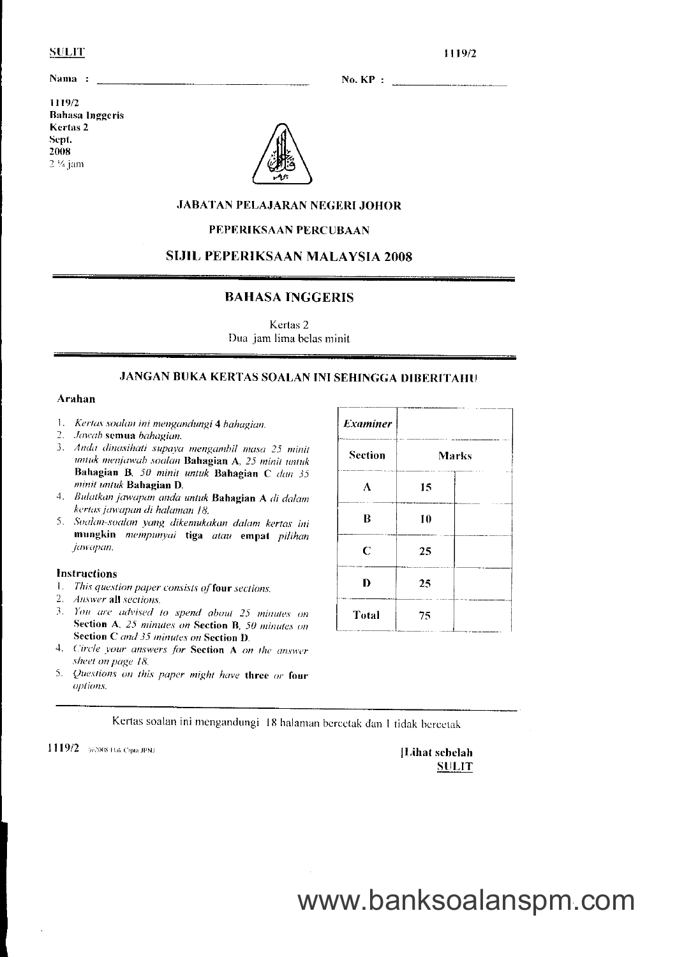### **SULIT**

1119/2

Nama :

1119/2 **Bahasa Inggeris** Kertas<sub>2</sub> Sept. 2008  $2\%$  jam



### **JABATAN PELAJARAN NEGERI JOHOR**

### PEPERIKSAAN PERCUBAAN

### **SIJIL PEPERIKSAAN MALAYSIA 2008**

### **BAHASA INGGERIS**

Kertas 2 Dua jam lima belas minit

### **JANGAN BUKA KERTAS SOALAN INI SEHINGGA DIBERITAHU**

#### Arahan

- 1. Kertas soalan ini mengandungi 4 hahagian.
- 2. Jawab semua bahagian.
- 3. Anda dinasihati supaya mengambil masa 25 minit untuk menjawab soalan Bahagian A, 25 minit untuk Bahagian B, 50 minit untuk Bahagian C dan 35 minit untuk Bahagian D.
- 4. Bulatkan jawapan anda untuk Bahagian A di dalam kertas jawapan di halaman 18.
- 5. Soalan-soalan yang dikemukakan dalam kertas ini mungkin mempunyai tiga atau empat pilihan jawapan.

### Instructions

- 1. This question paper consists of four sections.
- 2. Answer all sections.
- 3. You are advised to spend about 25 minutes on Section A. 25 minutes on Section B, 50 minutes on Section C and 35 minutes on Section D.
- 4. Circle your answers for Section A on the answer sheet on page 18.
- 5. Questions on this paper might have three or four options.

| <b>Examiner</b> |              |  |
|-----------------|--------------|--|
| <b>Section</b>  | <b>Marks</b> |  |
| A               | 15           |  |
| B               | 10           |  |
| C               | 25           |  |
| D               | 25           |  |
| Total           | 75           |  |

Kertas soalan ini mengandungi 18 halaman bercetak dan 1 tidak bercetak

1119/2 #2008 Hak Cipta JPNJ

[Lihat sebelah **SULIT**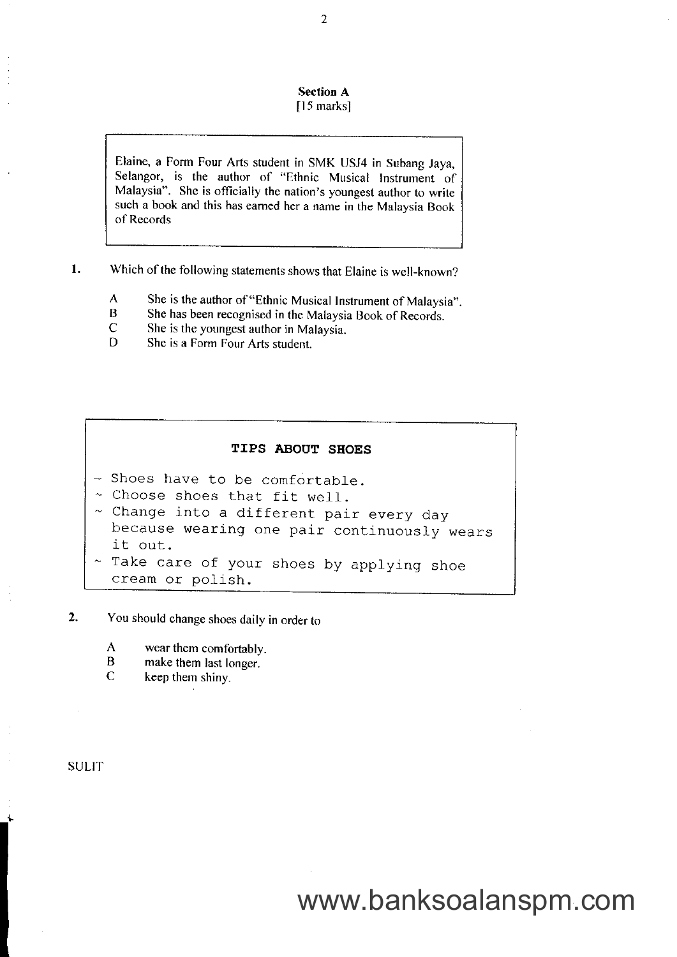### Section A

### $[15$  marks]

Elaine, a Form Four Arts student in SMK USJ4 in Subang Jaya, Selangor, is the author of "Ethnic Musical Instrument of Malaysia". She is officially thc nation's youngest author to write such a book and this has eamed her a name in the Malaysia Boox of Records

- l . Which of the following statements shows that Elaine is well-known?
	- A She is the author of "Ethnic Musical Instrument of Malaysia".<br>B She has been recognised in the Malaysia Book of Records
	- B She has been recognised in the Malaysia Book of Records.<br>C She is the youngest author in Malaysia
	- $C$  She is the youngest author in Malaysia.<br>D She is a Form Four Arts student
	- She is a Form Four Arts student.

### TIPS ABOUT SHOES

- $\sim$  Shoes have to be comfortable.
- ~ Choose shoes that fit well.
- $\sim$  Change into a different pair every day because wearing one pair continuously wears it out.
- Take care of your shoes by applying shoe cream or polish.

#### You should change shoes daily in order to 2.

- A wear them comfortably.<br>B make them last longer
- B make them last longer.<br>C keep them shiny
- keep them shiny.

### SULIT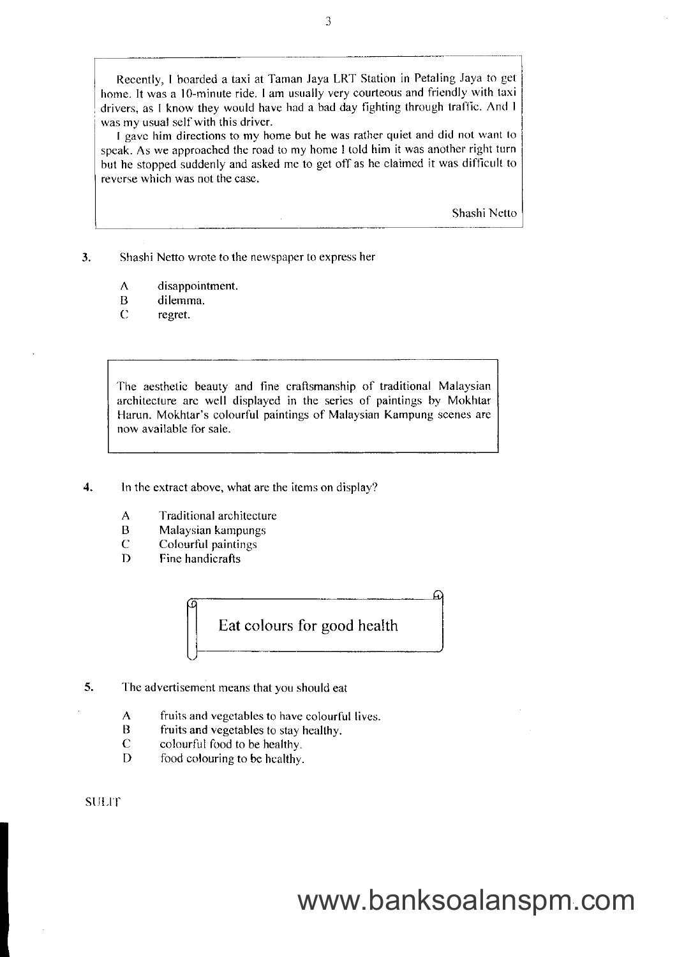Recently, I boarded a taxi at Taman Jaya LRT Station in Petaling Jaya to get home. It was a 10-minute ride. I am usually very courteous and friendly with taxi drivers, as I know they would have had a bad day fighting through traffic. And I was my usual self with this driver.

I gave him directions to my home but he was rather quiet and did not want to speak. As we approached the road to my home I told him it was another right turn but he stopped suddenly and asked me to get off as he claimed it was difficult to reverse which was not the case.

Shashi Netto

3. Shashi Netto wrote to the newspaper to express her

- $\Lambda$ disappointment.
- B dilemma.
- $\overline{C}$ regret.

The aesthetic beauty and fine craftsmanship of traditional Malaysian architecture arc well displayed in the series of paintings by Mokhtar Harun. Mokhtar's colourful paintings of Malaysian Kampung scenes are now available for sale.

4. In the extract above, what are the items on display?

 $\overline{A}$ Traditional architecture

- B Malaysian kampungs
- C Colourful paintings
- I) Fine handicrafts



- 5. The advertisement means that you should eat
	- A fruits and vegctablcs to have colourfil lives.
	- $\overline{B}$ fruits and vegetables to stay heallhy.
	- $\mathbf C$ colourful food to be healthy.
	- D food colouring to be hcalthy.

**SULIT** 

 $\overline{3}$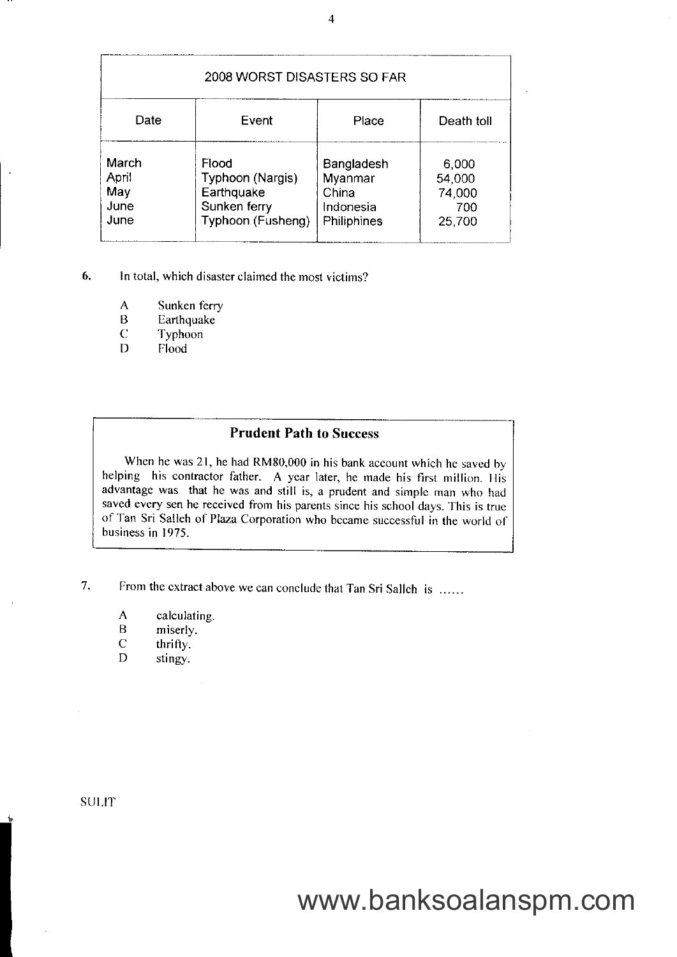|                                       | 2008 WORST DISASTERS SO FAR                                                  |                                                            |                                            |
|---------------------------------------|------------------------------------------------------------------------------|------------------------------------------------------------|--------------------------------------------|
| Date                                  | Event                                                                        | Place                                                      | Death toll                                 |
| March<br>April<br>May<br>June<br>June | Flood<br>Typhoon (Nargis)<br>Earthquake<br>Sunken ferry<br>Typhoon (Fusheng) | Bangladesh<br>Myanmar<br>China<br>Indonesia<br>Philiphines | 6,000<br>54,000<br>74,000<br>700<br>25,700 |

- 6. In total, which disaster claimed the most victims?
	- $\overline{A}$ Sunken ferry
	- Earthquake B
	- Typhoon C
	- Flood  $D$

### Prudent Path to Success

When he was 21, he had RM80,000 in his bank account which he saved by helping his contractor father. A year later, he made his first million. His advantage was that he was and still is, a prudent and simple man who had saved every sen he received from his parents since his school days. This is true of Tan Sri Salleh of Plaza Corporation who became successful in the world of business in 1975.

From the extract above we can conclude that Tan Sri Sallch is ...... 7.

- A calculating.<br>B miserly.
- B miserly.<br>C thrifty.
- $\begin{array}{ccc}\nC & \text{thrifty.} \\
D & \text{stingy.}\n\end{array}$
- stingy.

**SULIT**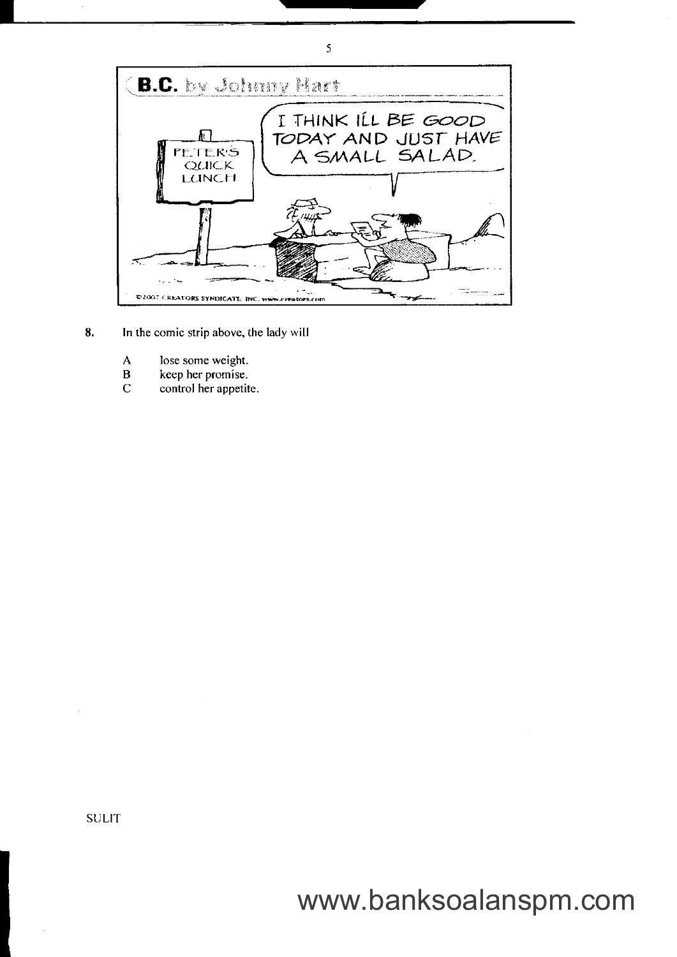

- 8. In the comic strip above, the lady will
	- lose some weight.  $\mathbf{A}$
	- $\, {\bf B}$ keep her promise.
	- $\overline{C}$ control her appetite.

**SULIT**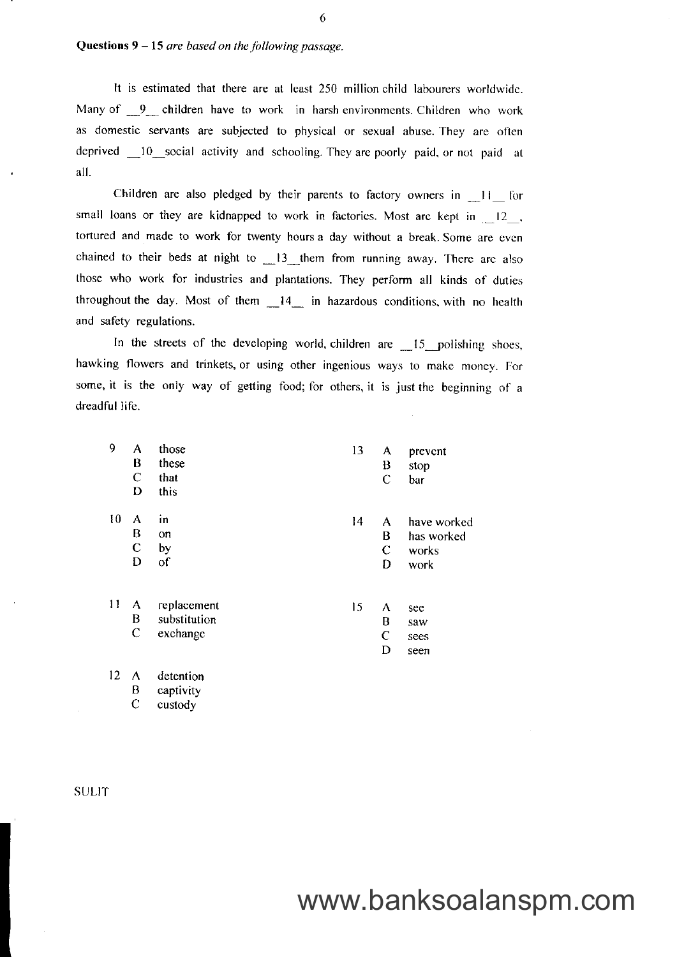### Questions  $9-15$  are based on the following passage.

It is estimated that there are at least 250 million child labourers worldwide. Many of 9 children have to work in harsh environments. Children who work as domestic servants are subjected to physical or sexual abuse. They are often deprived 10 social activity and schooling. They are poorly paid, or not paid at all.

Children are also pledged by their parents to factory owners in 11 for small loans or they are kidnapped to work in factories. Most are kept in 12, tortured and made to work for twenty hours a day without a break. Some are even chained to their beds at night to  $\_\!\_$ 13 them from running away. There are also those who work for industries and plantations. They perform all kinds of duties throughout the day. Most of them  $14$  in hazardous conditions, with no health and safety regulations.

In the streets of the developing world, children are 15 polishing shoes, hawking flowers and trinkets, or using other ingenious ways to make money. For some, it is the only way of getting food; for others, it is just the beginning of a dreadful life.

| 9  | A           | those        | 13 | A            | prevent     |
|----|-------------|--------------|----|--------------|-------------|
|    | B           | these        |    | B            | stop        |
|    | $\mathbf C$ | that         |    | $\mathsf{C}$ | bar         |
|    | D           | this         |    |              |             |
| 10 | A           | in           | 14 | A            | have worked |
|    | B           | on           |    | B            | has worked  |
|    | $\mathbf C$ | by           |    | $\mathbf C$  | works       |
|    | D           | of           |    | D            | work        |
| 11 | A           | replacement  | 15 | Λ            | see         |
|    | B           | substitution |    | B            | saw         |
|    | $\mathbf C$ | exchange     |    | $\mathsf{C}$ | sees        |
|    |             |              |    | D            | seen        |
| 12 | A           | detention    |    |              |             |

**SULIT** 

 $\mathbf B$ 

 $\mathbf C$ 

captivity

custody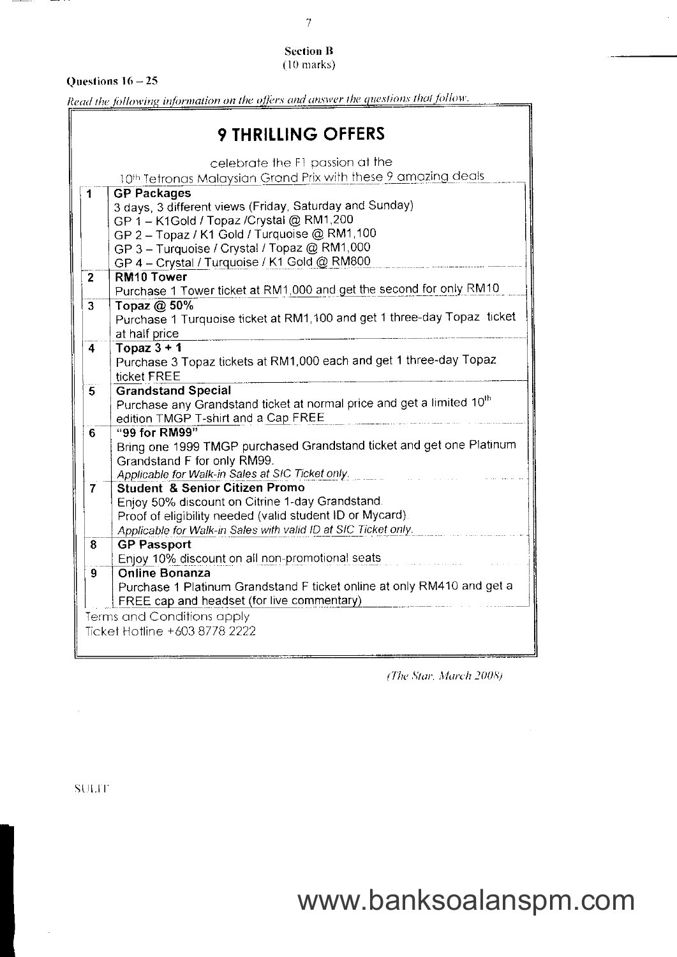### **Section B**  $(10 \text{ marks})$

### Questions  $16 - 25$

Read the following information on the offers and answer the questions that follow.

| <b>9 THRILLING OFFERS</b> |                                                                                   |  |
|---------------------------|-----------------------------------------------------------------------------------|--|
|                           | celebrate the F1 passion at the                                                   |  |
|                           | 10th Tetronas Malaysian Grand Prix with these 9 amazing deals                     |  |
| 1                         | <b>GP Packages</b>                                                                |  |
|                           | 3 days, 3 different views (Friday, Saturday and Sunday)                           |  |
|                           | GP 1 - K1Gold / Topaz / Crystal @ RM1,200                                         |  |
|                           | GP 2 - Topaz / K1 Gold / Turquoise @ RM1,100                                      |  |
|                           | GP 3 - Turquoise / Crystal / Topaz @ RM1,000                                      |  |
|                           | GP 4 - Crystal / Turquoise / K1 Gold @ RM800                                      |  |
| $\mathbf{2}$              | RM <sub>10</sub> Tower                                                            |  |
|                           | Purchase 1 Tower ticket at RM1,000 and get the second for only RM10               |  |
| $\overline{3}$            | Topaz @ 50%                                                                       |  |
|                           | Purchase 1 Turquoise ticket at RM1,100 and get 1 three-day Topaz ticket           |  |
|                           | at half price                                                                     |  |
| 4                         | Topaz $3 + 1$                                                                     |  |
|                           | Purchase 3 Topaz tickets at RM1,000 each and get 1 three-day Topaz                |  |
|                           | ticket FREE                                                                       |  |
| 5                         | <b>Grandstand Special</b>                                                         |  |
|                           | Purchase any Grandstand ticket at normal price and get a limited 10 <sup>th</sup> |  |
|                           | edition TMGP T-shirt and a Cap FREE                                               |  |
| 6.                        | "99 for RM99"                                                                     |  |
|                           | Bring one 1999 TMGP purchased Grandstand ticket and get one Platinum              |  |
|                           | Grandstand F for only RM99.                                                       |  |
|                           | Applicable for Walk-in Sales at SIC Ticket only.                                  |  |
| 7                         | <b>Student &amp; Senior Citizen Promo</b>                                         |  |
|                           | Enjoy 50% discount on Citrine 1-day Grandstand.                                   |  |
|                           | Proof of eligibility needed (valid student ID or Mycard).                         |  |
|                           | Applicable for Walk-in Sales with valid ID at SIC Ticket only.                    |  |
| 8                         | <b>GP Passport</b>                                                                |  |
|                           | Enjoy 10% discount on all non-promotional seats                                   |  |
| 9                         | <b>Online Bonanza</b>                                                             |  |
|                           | Purchase 1 Platinum Grandstand F ticket online at only RM410 and get a            |  |
|                           | FREE cap and headset (for live commentary)                                        |  |
|                           | Terms and Conditions apply                                                        |  |
|                           | Ticket Hotline +603 8778 2222                                                     |  |
|                           |                                                                                   |  |

(The Star, March 2008)

รา<br>11

**SULIT**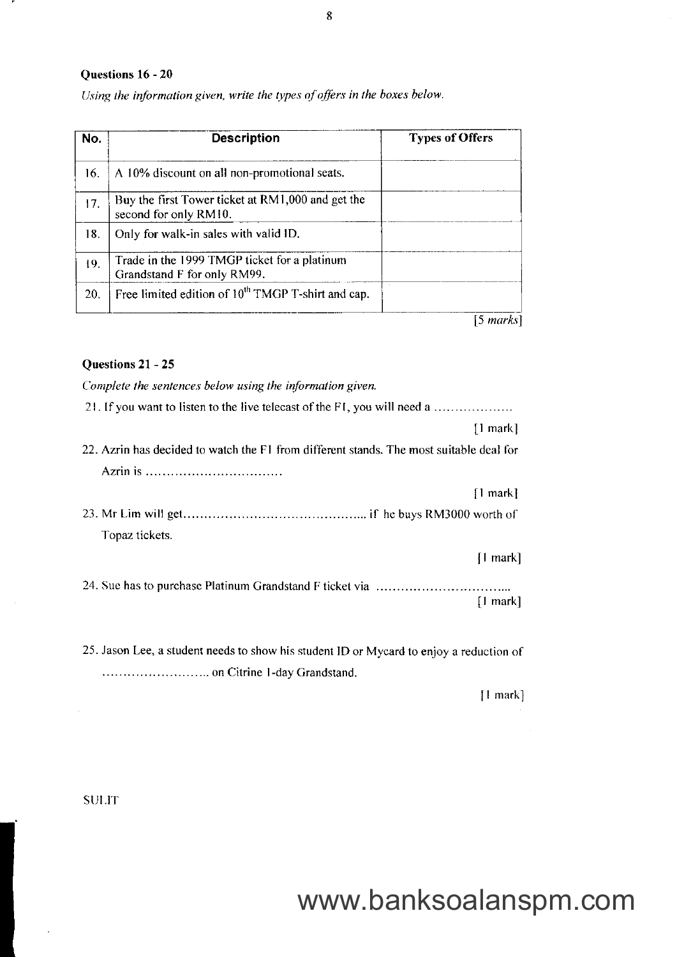### Questions 16 - 20

| No. | <b>Description</b>                                                          | <b>Types of Offers</b> |
|-----|-----------------------------------------------------------------------------|------------------------|
| 16. | A 10% discount on all non-promotional seats.                                |                        |
| 17. | Buy the first Tower ticket at RM1,000 and get the<br>second for only RM10.  |                        |
| 18. | Only for walk-in sales with valid ID.                                       |                        |
| 19. | Trade in the 1999 TMGP ticket for a platinum<br>Grandstand F for only RM99. |                        |
| 20. | Free limited edition of 10 <sup>th</sup> TMGP T-shirt and cap.              |                        |
|     |                                                                             | [5 marks]              |

Using the information given, write the types of offers in the boxes below.

### Questions 21 - 25

Complete the sentences below using the information given.

25. Jason Lee, a student needs to show his student ID or Mycard to enjoy a reduction of .... on Citrine l-day Grandstand.

| | markl

SIJI,IT

 $\bar{1}$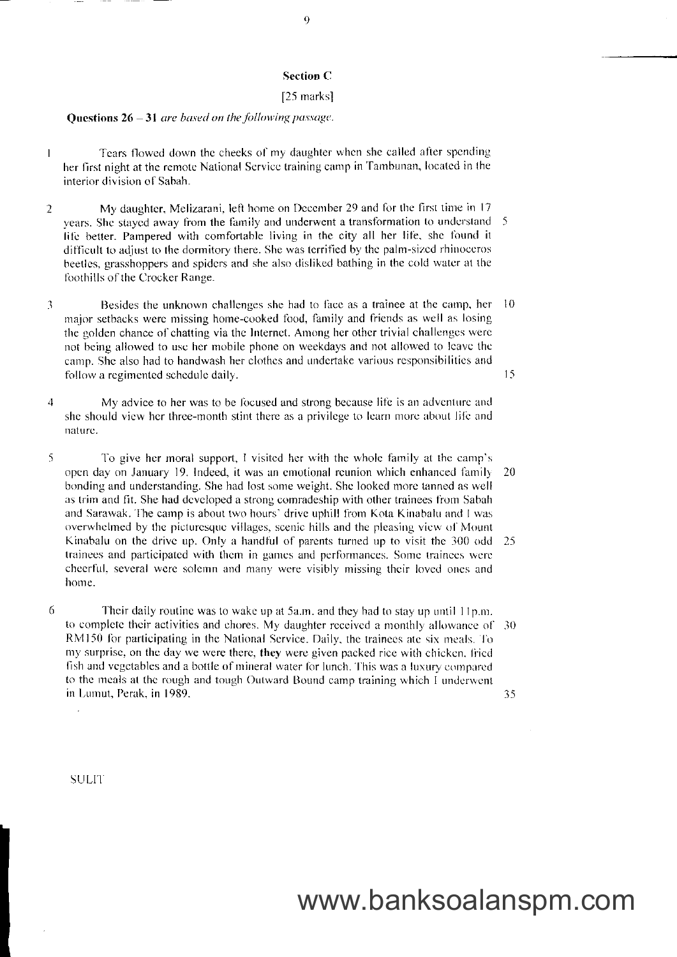### **Section C**

#### [25 marks]

### Questions  $26 - 31$  are based on the following passage.

- Tears flowed down the cheeks of my daughter when she called after spending  $\overline{1}$ her first night at the remote National Service training camp in Tambunan, located in the interior division of Sabah.
- My daughter, Melizarani, left home on December 29 and for the first time in 17  $\overline{2}$ years. She stayed away from the family and underwent a transformation to understand 5 life better. Pampered with comfortable living in the city all her life, she found it difficult to adjust to the dormitory there. She was terrified by the palm-sized rhinoceros beetles, grasshoppers and spiders and she also disliked bathing in the cold water at the foothills of the Crocker Range.
- Besides the unknown challenges she had to face as a trainee at the camp, her  $10$  $\beta$ major setbacks were missing home-cooked food, family and friends as well as losing the golden chance of chatting via the Internet. Among her other trivial challenges were not being allowed to use her mobile phone on weekdays and not allowed to leave the camp. She also had to handwash her clothes and undertake various responsibilities and 15 follow a regimented schedule daily.
- $\overline{4}$ My advice to her was to be focused and strong because life is an adventure and she should view her three-month stint there as a privilege to learn more about life and nature.
- 5 To give her moral support, I visited her with the whole family at the camp's open day on January 19. Indeed, it was an emotional reunion which enhanced family 20 bonding and understanding. She had lost some weight, She looked more tanned as well as trim and fit. She had developed a strong comradeship with other trainees from Sabah and Sarawak. The camp is about two hours' drive uphill from Kota Kinabalu and I was overwhelmed by the picturesque villages, scenic hills and the pleasing view of Mount Kinabalu on the drive up. Only a handful of parents turned up to visit the 300 odd 25 trainees and participated with them in games and performances. Some trainees were cheerful, several were solemn and many were visibly missing their loved ones and home
- 6 Their daily routine was to wake up at 5a.m. and they had to stay up until 11p.m. to complete their activities and chores. My daughter received a monthly allowance of 30 RM150 for participating in the National Service. Daily, the trainees ate six meals. To my surprise, on the day we were there, they were given packed rice with chicken, fried fish and vegetables and a bottle of mineral water for lunch. This was a luxury compared to the meals at the rough and tough Outward Bound camp training which I underwent in Lumut, Perak, in 1989. 35

**SULIT**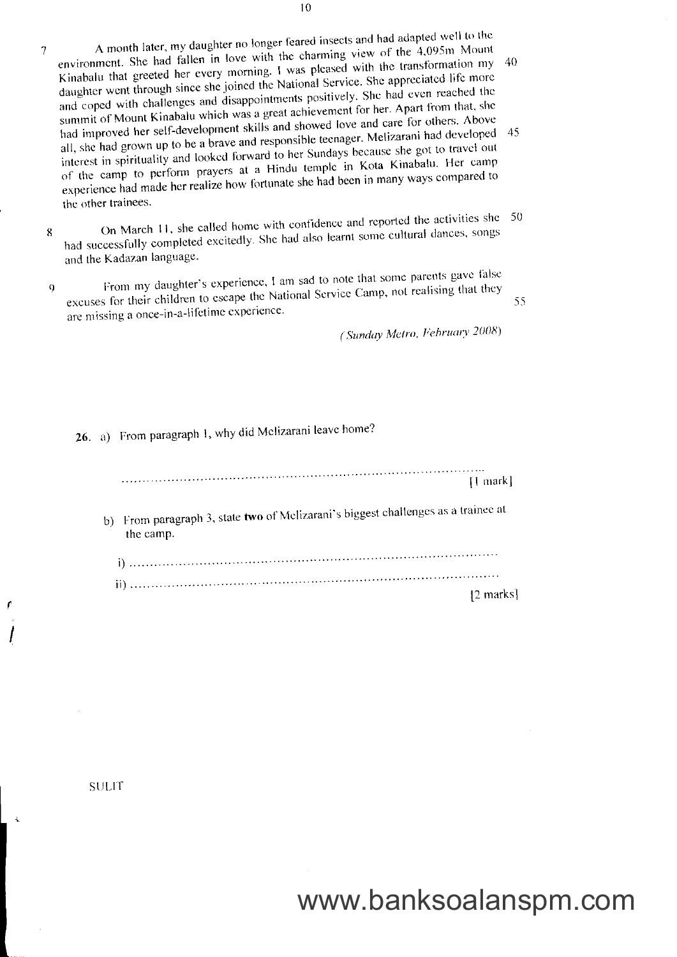- A month later, my daughter no longer feared insects and had adapted well to the environment. She had fallen in love with the charming view of the 4,095m Mount  $\overline{7}$ Kinabalu that greeted her every morning. I was pleased with the transformation my 40 daughter went through since she joined the National Service. She appreciated life more and coped with challenges and disappointments positively. She had even reached the summit of Mount Kinabalu which was a great achievement for her. Apart from that, she had improved her self-development skills and showed love and care for others. Above all, she had grown up to be a brave and responsible teenager. Melizarani had developed 45 interest in spirituality and looked forward to her Sundays because she got to travel out of the camp to perform prayers at a Hindu temple in Kota Kinabalu. Her camp experience had made her realize how fortunate she had been in many ways compared to the other trainees.
- On March 11, she called home with confidence and reported the activities she 50 had successfully completed excitedly. She had also learnt some cultural dances, songs 8 and the Kadazan language.
- From my daughter's experience, I am sad to note that some parents gave false excuses for their children to escape the National Service Camp, not realising that they  $\overline{Q}$ are missing a once-in-a-lifetime experience.

(Sunday Metro, February 2008)

55

26. a) From paragraph 1, why did Melizarani leave home?

 $[1$  mark]

b) From paragraph 3, state two of Melizarani's biggest challenges as a trainee at the camp.

|  | 12 marks |
|--|----------|

**SULIT**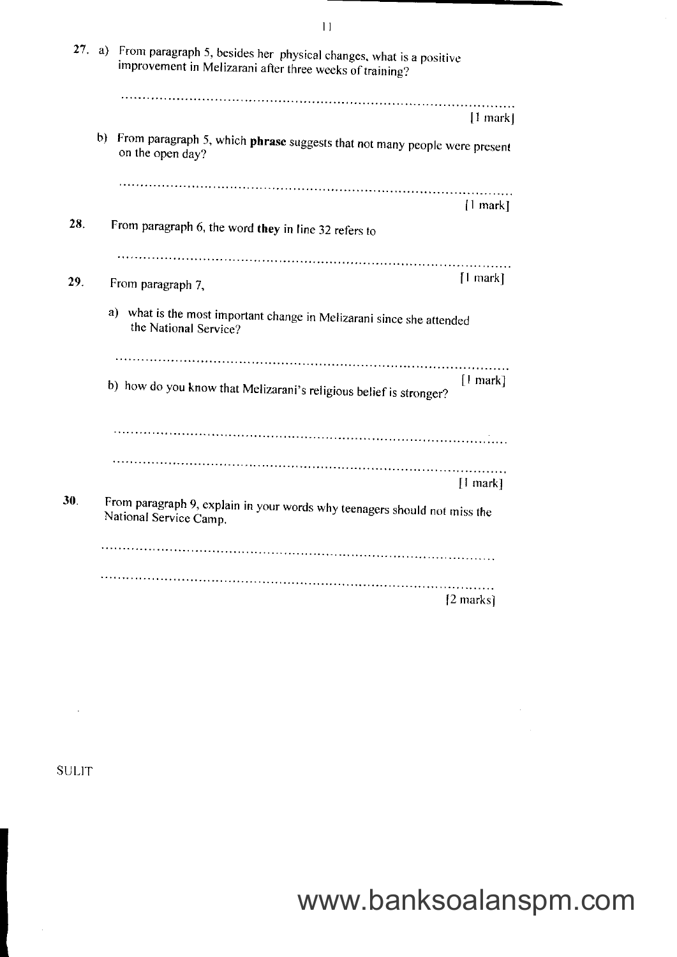| From paragraph 5, besides her physical changes, what is a positive<br>improvement in Melizarani after three weeks of training? |                                                                |
|--------------------------------------------------------------------------------------------------------------------------------|----------------------------------------------------------------|
|                                                                                                                                | $ 1$ mark $ $                                                  |
| $\mathbf{b}$<br>From paragraph 5, which phrase suggests that not many people were present<br>on the open day?                  |                                                                |
|                                                                                                                                | $\lfloor$ mark]                                                |
|                                                                                                                                |                                                                |
| From paragraph 7,                                                                                                              | $[1$ mark]                                                     |
| a) what is the most important change in Melizarani since she attended<br>the National Service?                                 |                                                                |
|                                                                                                                                |                                                                |
| b) how do you know that Melizarani's religious belief is stronger?                                                             | $[1$ mark]                                                     |
|                                                                                                                                |                                                                |
|                                                                                                                                |                                                                |
| From paragraph 9, explain in your words why teenagers should not miss the<br>National Service Camp.                            | $[1$ mark]                                                     |
|                                                                                                                                |                                                                |
|                                                                                                                                | $[2$ marks]                                                    |
|                                                                                                                                | 27. a)<br>From paragraph 6, the word they in line 32 refers to |

**SULIT** 

 $\sim$ 

www.banksoalanspm.com

 $\hat{\mathcal{A}}$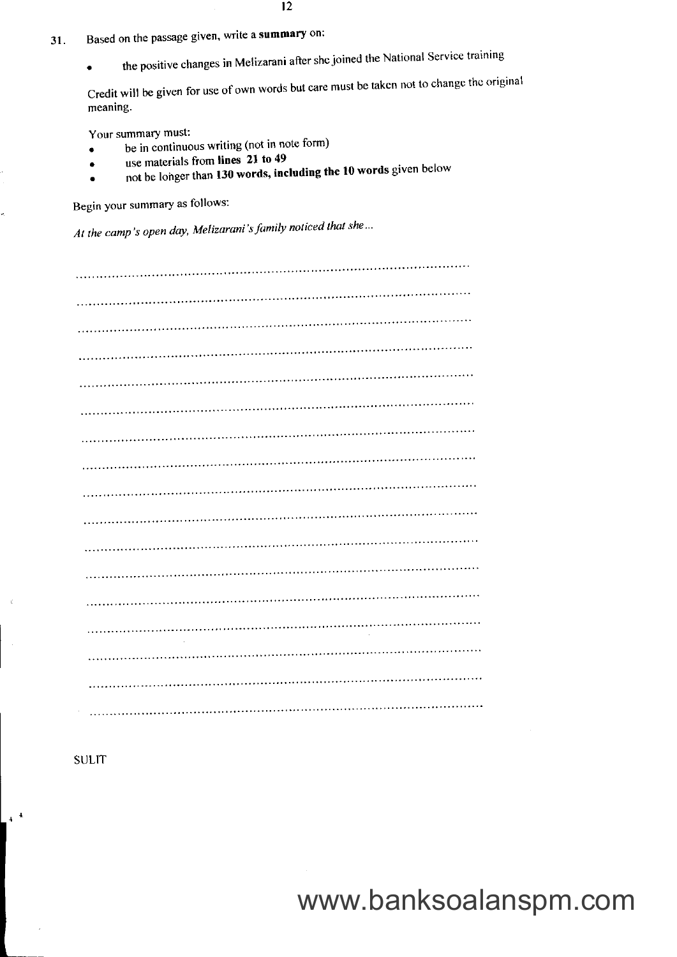- l 2
- 31. Based on the passage given, wite a summary on:
	- the positive changes in Melizarani after she joined the National Service training

Credit will be given for use of own words but care must be taken not to change thc original meaning.

Your summary must:

- $\bullet$  be in continuous writing (not in note form)
- use materials from lines 21 to 49
- not be longer than 130 words, including the 10 words given below

Begin your summary as follows:

At the camp's open day, Melizarani's family noticed that she...

**SULIT** 

 $4^{-4}$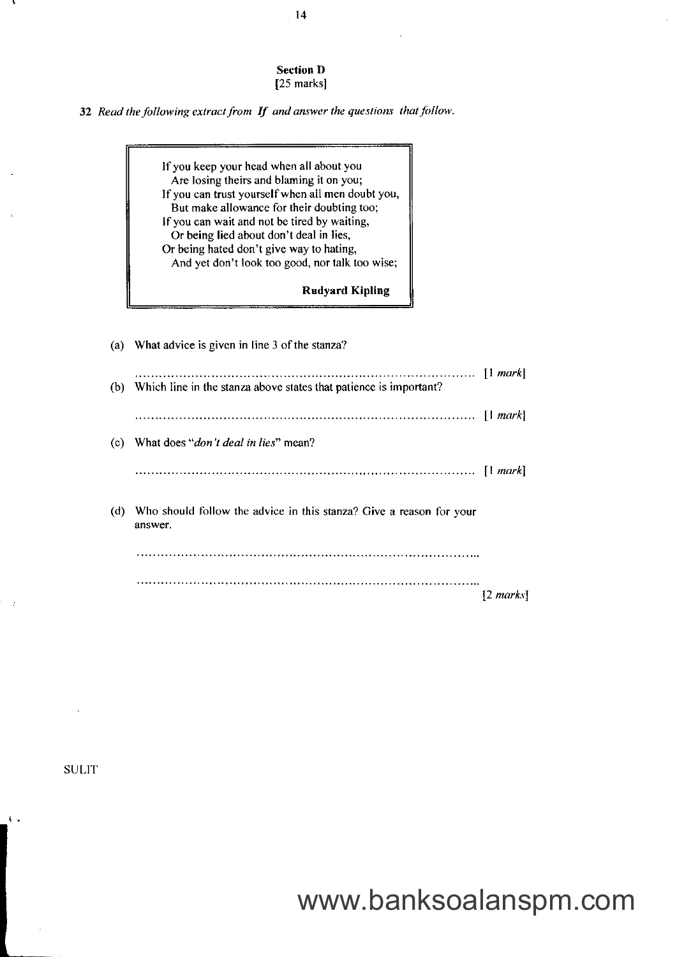Section D [25 marks]

32 Read the following extract from  $If$  and answer the questions that follow.

lfyou keep your head when all about you Are losing theirs and blaming it on you; Ifyou can trust yourselfwhen all men doubt you, But make allowance for their doubting too; If you can wait and not be tired by waiting, Or being lied about don't deal in lies, Or being hated don't give way to hating, And yet don't look too good, nor talk too wise;

Rudyard Kipling

|     | (a) What advice is given in line 3 of the stanza?                              |                     |
|-----|--------------------------------------------------------------------------------|---------------------|
| (b) | Which line in the stanza above states that patience is important?              |                     |
|     |                                                                                |                     |
| (c) | What does " <i>don't deal in lies</i> " mean?                                  |                     |
|     |                                                                                |                     |
| (d) | Who should follow the advice in this stanza? Give a reason for your<br>answer. |                     |
|     |                                                                                |                     |
|     |                                                                                | $[2 \text{ marks}]$ |

**SULIT** 

 $\downarrow$  .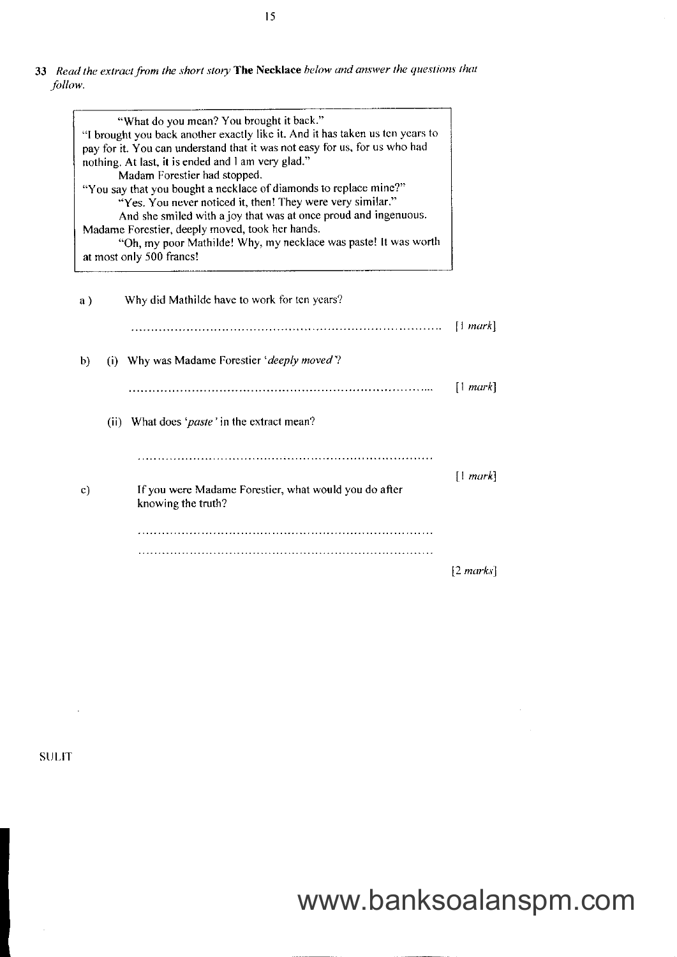33 Read the extract from the short story The Necklace below and answer the questions that .follow.

| "What do you mean? You brought it back."<br>"I brought you back another exactly like it. And it has taken us ten years to<br>pay for it. You can understand that it was not easy for us, for us who had<br>nothing. At last, it is ended and I am very glad."<br>Madam Forestier had stopped.<br>"You say that you bought a necklace of diamonds to replace mine?"<br>"Yes. You never noticed it, then! They were very similar."<br>And she smiled with a joy that was at once proud and ingenuous.<br>Madame Forestier, deeply moved, took her hands.<br>"Oh, my poor Mathilde! Why, my necklace was paste! It was worth<br>at most only 500 francs! |                     |
|-------------------------------------------------------------------------------------------------------------------------------------------------------------------------------------------------------------------------------------------------------------------------------------------------------------------------------------------------------------------------------------------------------------------------------------------------------------------------------------------------------------------------------------------------------------------------------------------------------------------------------------------------------|---------------------|
| Why did Mathilde have to work for ten years?<br>a)                                                                                                                                                                                                                                                                                                                                                                                                                                                                                                                                                                                                    |                     |
|                                                                                                                                                                                                                                                                                                                                                                                                                                                                                                                                                                                                                                                       | [1 mark]            |
| (i) Why was Madame Forestier 'deeply moved'?<br>b)                                                                                                                                                                                                                                                                                                                                                                                                                                                                                                                                                                                                    |                     |
|                                                                                                                                                                                                                                                                                                                                                                                                                                                                                                                                                                                                                                                       | [1 mark]            |
| (ii) What does ' <i>paste</i> ' in the extract mean?                                                                                                                                                                                                                                                                                                                                                                                                                                                                                                                                                                                                  |                     |
|                                                                                                                                                                                                                                                                                                                                                                                                                                                                                                                                                                                                                                                       |                     |
| If you were Madame Forestier, what would you do after<br>$\mathbf{c})$<br>knowing the truth?                                                                                                                                                                                                                                                                                                                                                                                                                                                                                                                                                          | [1 mark]            |
|                                                                                                                                                                                                                                                                                                                                                                                                                                                                                                                                                                                                                                                       |                     |
|                                                                                                                                                                                                                                                                                                                                                                                                                                                                                                                                                                                                                                                       |                     |
|                                                                                                                                                                                                                                                                                                                                                                                                                                                                                                                                                                                                                                                       | $[2 \text{ marks}]$ |

**SULIT** 

 $\overline{\phantom{a}}$ 

 $\sim 10$